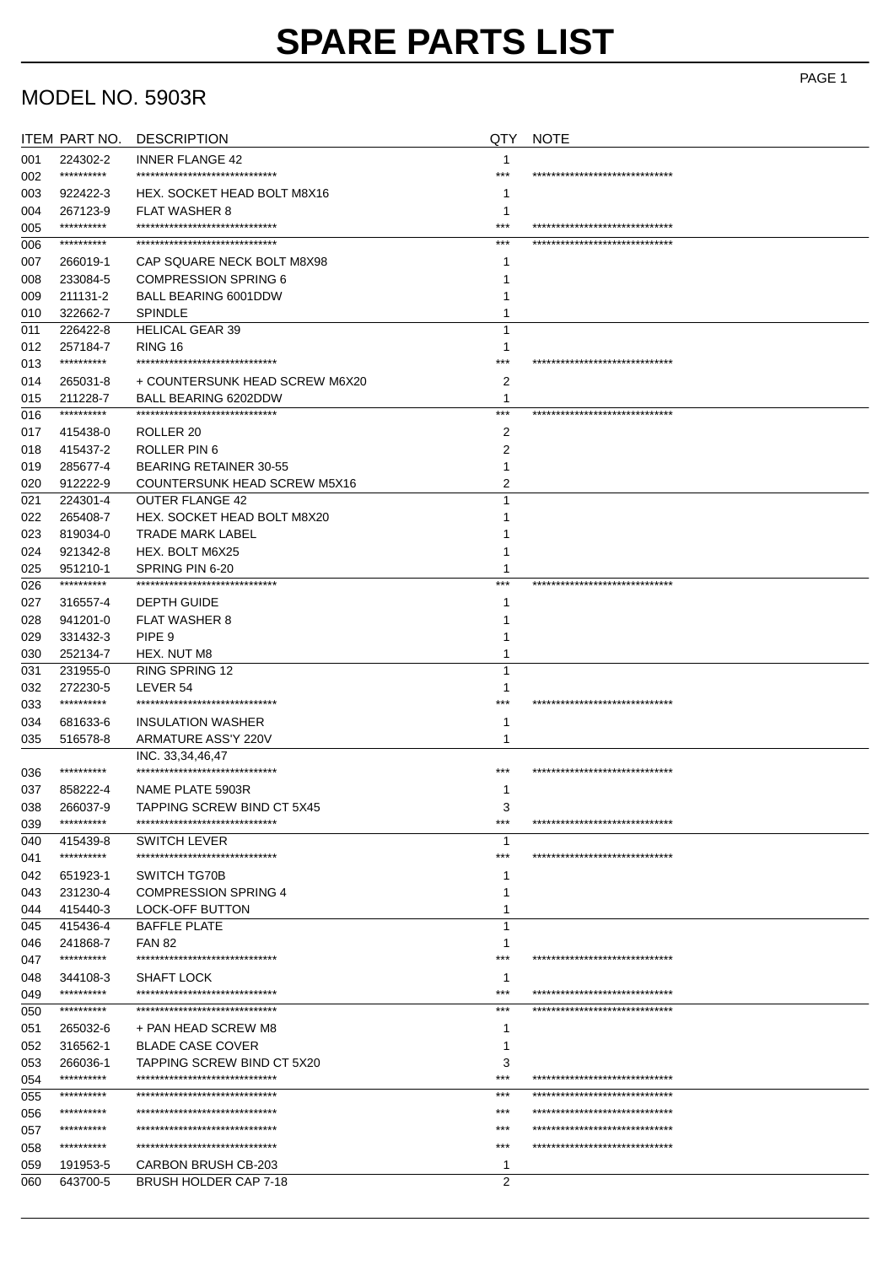## MODEL NO. 5903R

|     | ITEM PART NO.              | <b>DESCRIPTION</b>                                | QTY            | <b>NOTE</b>                     |
|-----|----------------------------|---------------------------------------------------|----------------|---------------------------------|
| 001 | 224302-2                   | <b>INNER FLANGE 42</b>                            | 1              |                                 |
| 002 | ***********                | ******************************                    | $***$          | ******************************* |
| 003 | 922422-3                   | HEX. SOCKET HEAD BOLT M8X16                       |                |                                 |
| 004 | 267123-9                   | <b>FLAT WASHER 8</b>                              | 1              |                                 |
| 005 | **********                 | *****************************                     | $***$          | ******************************  |
| 006 | **********                 | *******************************                   | ***            | ******************************  |
| 007 | 266019-1                   | CAP SQUARE NECK BOLT M8X98                        | 1              |                                 |
| 008 | 233084-5                   | <b>COMPRESSION SPRING 6</b>                       |                |                                 |
| 009 | 211131-2                   | BALL BEARING 6001DDW                              |                |                                 |
| 010 | 322662-7                   | <b>SPINDLE</b>                                    |                |                                 |
| 011 | 226422-8                   | <b>HELICAL GEAR 39</b>                            |                |                                 |
| 012 | 257184-7                   | RING 16                                           | 1              |                                 |
| 013 | ***********                | ******************************                    | $***$          | ******************************* |
| 014 | 265031-8                   | + COUNTERSUNK HEAD SCREW M6X20                    | 2              |                                 |
| 015 | 211228-7                   | BALL BEARING 6202DDW                              | 1              |                                 |
| 016 | **********                 | ******************************                    | $***$          | ******************************  |
| 017 | 415438-0                   | ROLLER <sub>20</sub>                              | 2              |                                 |
| 018 | 415437-2                   | ROLLER PIN 6                                      | 2              |                                 |
| 019 | 285677-4                   | <b>BEARING RETAINER 30-55</b>                     |                |                                 |
| 020 | 912222-9                   | COUNTERSUNK HEAD SCREW M5X16                      | 2              |                                 |
|     | 224301-4                   | <b>OUTER FLANGE 42</b>                            | 1              |                                 |
| 021 |                            | HEX. SOCKET HEAD BOLT M8X20                       |                |                                 |
| 022 | 265408-7                   |                                                   |                |                                 |
| 023 | 819034-0                   | <b>TRADE MARK LABEL</b>                           |                |                                 |
| 024 | 921342-8                   | HEX. BOLT M6X25                                   |                |                                 |
| 025 | 951210-1<br>$************$ | SPRING PIN 6-20<br>****************************** | 1<br>***       | ******************************  |
| 026 |                            |                                                   |                |                                 |
| 027 | 316557-4                   | <b>DEPTH GUIDE</b>                                |                |                                 |
| 028 | 941201-0                   | <b>FLAT WASHER 8</b>                              |                |                                 |
| 029 | 331432-3                   | PIPE <sub>9</sub>                                 |                |                                 |
| 030 | 252134-7                   | HEX. NUT M8                                       | 1              |                                 |
| 031 | 231955-0                   | <b>RING SPRING 12</b>                             | 1              |                                 |
| 032 | 272230-5                   | LEVER 54                                          | ำ              |                                 |
| 033 | ***********                | ******************************                    | ***            | ******************************* |
| 034 | 681633-6                   | <b>INSULATION WASHER</b>                          | 1              |                                 |
| 035 | 516578-8                   | ARMATURE ASS'Y 220V                               | 1              |                                 |
|     |                            | INC. 33,34,46,47                                  |                |                                 |
| 036 | **********                 | ******************************                    | ***            | ******************************  |
| 037 | 858222-4                   | NAME PLATE 5903R                                  | 1              |                                 |
| 038 | 266037-9                   | TAPPING SCREW BIND CT 5X45                        | 3              |                                 |
| 039 | **********                 | *******************************                   | $***$          | ******************************  |
| 040 | 415439-8                   | <b>SWITCH LEVER</b>                               | 1              |                                 |
| 041 | ***********                | ******************************                    | ***            | ******************************  |
| 042 | 651923-1                   | SWITCH TG70B                                      |                |                                 |
| 043 | 231230-4                   | <b>COMPRESSION SPRING 4</b>                       |                |                                 |
| 044 | 415440-3                   | <b>LOCK-OFF BUTTON</b>                            | 1              |                                 |
| 045 | 415436-4                   | <b>BAFFLE PLATE</b>                               | 1              |                                 |
| 046 | 241868-7                   | <b>FAN 82</b>                                     | 1              |                                 |
| 047 | **********                 | ******************************                    | $***$          | ******************************  |
| 048 | 344108-3                   | <b>SHAFT LOCK</b>                                 | 1              |                                 |
| 049 | **********                 | *******************************                   | $***$          | ******************************  |
| 050 | ***********                | *******************************                   | $***$          | ******************************* |
| 051 | 265032-6                   | + PAN HEAD SCREW M8                               |                |                                 |
| 052 | 316562-1                   | <b>BLADE CASE COVER</b>                           | 1              |                                 |
| 053 | 266036-1                   | <b>TAPPING SCREW BIND CT 5X20</b>                 | 3              |                                 |
| 054 | **********                 | ******************************                    | $***$          | ******************************  |
| 055 | **********                 | *******************************                   | $***$          | ******************************  |
| 056 | **********                 | ******************************                    | ***            | ******************************  |
| 057 | **********                 | *******************************                   | ***            | ******************************  |
| 058 | ***********                | ******************************                    | ***            | ******************************* |
| 059 | 191953-5                   | CARBON BRUSH CB-203                               | 1              |                                 |
| 060 | 643700-5                   | <b>BRUSH HOLDER CAP 7-18</b>                      | $\overline{2}$ |                                 |
|     |                            |                                                   |                |                                 |

PAGE 1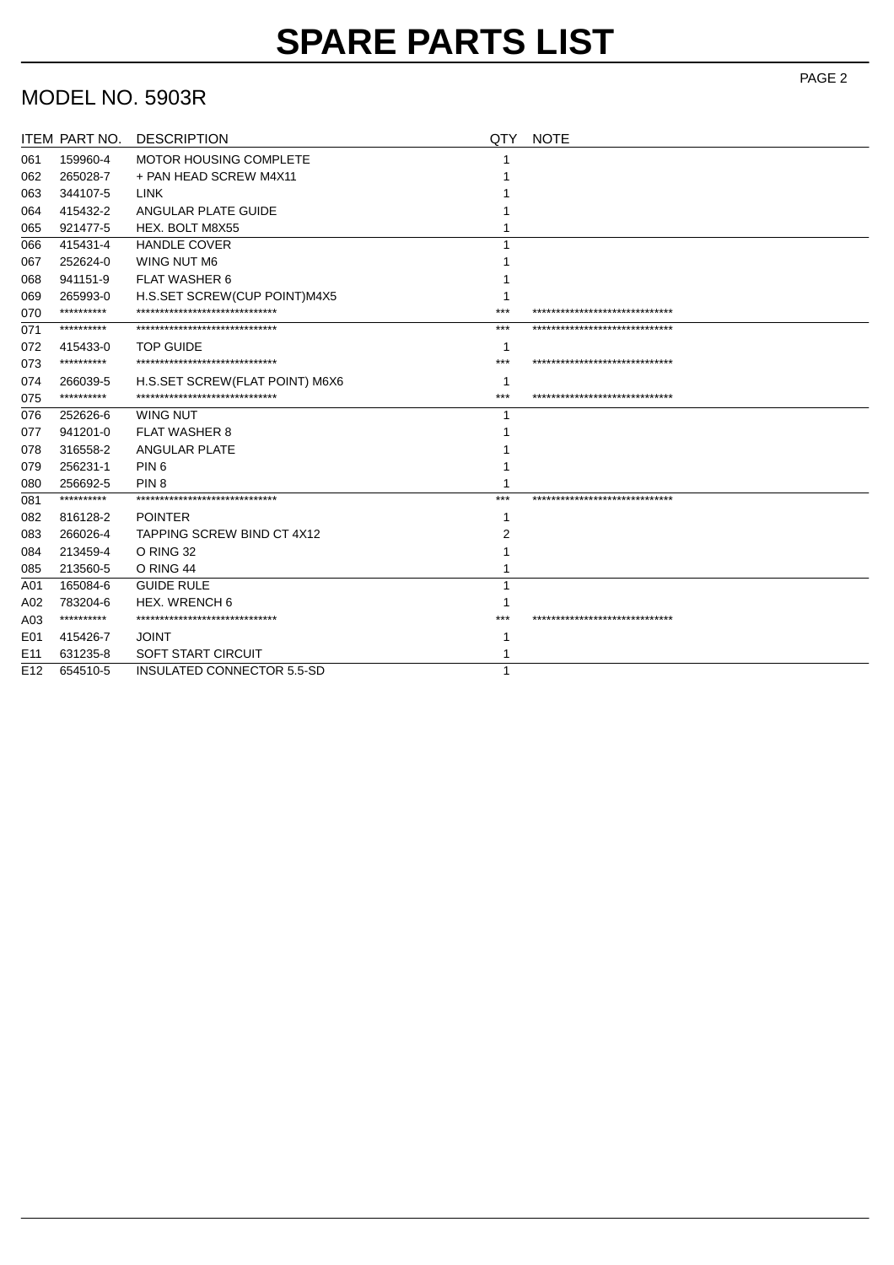## MODEL NO. 5903R

|                 | ITEM PART NO. | <b>DESCRIPTION</b>              | QTY   | <b>NOTE</b>                     |
|-----------------|---------------|---------------------------------|-------|---------------------------------|
| 061             | 159960-4      | MOTOR HOUSING COMPLETE          |       |                                 |
| 062             | 265028-7      | + PAN HEAD SCREW M4X11          |       |                                 |
| 063             | 344107-5      | <b>LINK</b>                     |       |                                 |
| 064             | 415432-2      | ANGULAR PLATE GUIDE             |       |                                 |
| 065             | 921477-5      | HEX. BOLT M8X55                 |       |                                 |
| 066             | 415431-4      | <b>HANDLE COVER</b>             |       |                                 |
| 067             | 252624-0      | <b>WING NUT M6</b>              |       |                                 |
| 068             | 941151-9      | FLAT WASHER 6                   |       |                                 |
| 069             | 265993-0      | H.S.SET SCREW(CUP POINT)M4X5    |       |                                 |
| 070             | **********    | ******************************  | $***$ | ******************************  |
| 071             | **********    | ******************************* | $***$ | ******************************  |
| 072             | 415433-0      | <b>TOP GUIDE</b>                |       |                                 |
| 073             | **********    | ******************************  | $***$ | ******************************  |
| 074             | 266039-5      | H.S.SET SCREW (FLAT POINT) M6X6 |       |                                 |
| 075             | **********    | ******************************  | $***$ | ******************************  |
| 076             | 252626-6      | <b>WING NUT</b>                 |       |                                 |
| 077             | 941201-0      | <b>FLAT WASHER 8</b>            |       |                                 |
| 078             | 316558-2      | <b>ANGULAR PLATE</b>            |       |                                 |
| 079             | 256231-1      | PIN <sub>6</sub>                |       |                                 |
| 080             | 256692-5      | PIN <sub>8</sub>                |       |                                 |
| 081             | **********    | ******************************  | $***$ | ******************************  |
| 082             | 816128-2      | <b>POINTER</b>                  |       |                                 |
| 083             | 266026-4      | TAPPING SCREW BIND CT 4X12      | 2     |                                 |
| 084             | 213459-4      | O RING 32                       |       |                                 |
| 085             | 213560-5      | O RING 44                       |       |                                 |
| A01             | 165084-6      | <b>GUIDE RULE</b>               |       |                                 |
| A02             | 783204-6      | <b>HEX. WRENCH 6</b>            |       |                                 |
| A03             | **********    | ******************************* | ***   | ******************************* |
| E01             | 415426-7      | <b>JOINT</b>                    |       |                                 |
| E <sub>11</sub> | 631235-8      | <b>SOFT START CIRCUIT</b>       |       |                                 |
| E <sub>12</sub> | 654510-5      | INSULATED CONNECTOR 5.5-SD      | 1     |                                 |